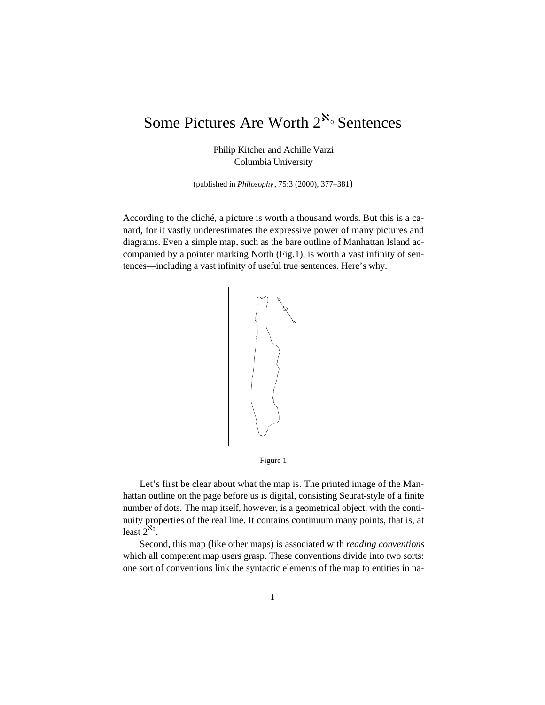## Some Pictures Are Worth 2 <sup>o</sup> Sentences

Philip Kitcher and Achille Varzi Columbia University

(published in *Philosophy*, 75:3 (2000), 377–381)

According to the cliché, a picture is worth a thousand words. But this is a canard, for it vastly underestimates the expressive power of many pictures and diagrams. Even a simple map, such as the bare outline of Manhattan Island accompanied by a pointer marking North (Fig.1), is worth a vast infinity of sentences—including a vast infinity of useful true sentences. Here's why.



Figure 1

Let's first be clear about what the map is. The printed image of the Manhattan outline on the page before us is digital, consisting Seurat-style of a finite number of dots. The map itself, however, is a geometrical object, with the continuity properties of the real line. It contains continuum many points, that is, at least  $2<sup>0</sup>$ .

Second, this map (like other maps) is associated with *reading conventions* which all competent map users grasp. These conventions divide into two sorts: one sort of conventions link the syntactic elements of the map to entities in na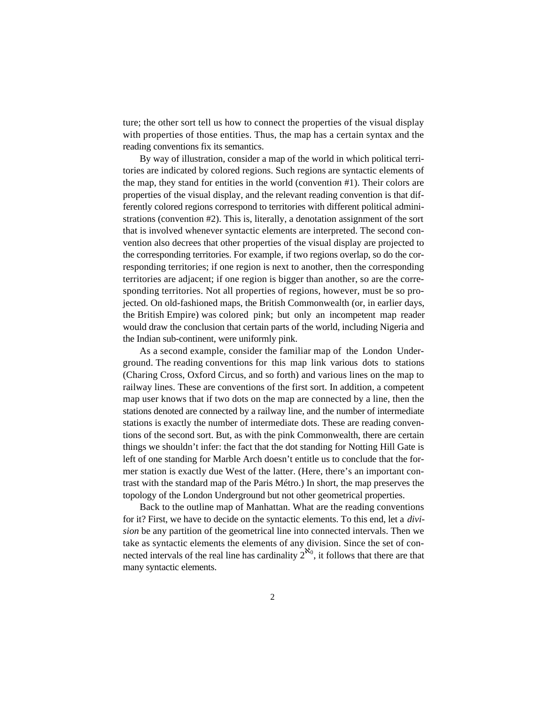ture; the other sort tell us how to connect the properties of the visual display with properties of those entities. Thus, the map has a certain syntax and the reading conventions fix its semantics.

By way of illustration, consider a map of the world in which political territories are indicated by colored regions. Such regions are syntactic elements of the map, they stand for entities in the world (convention #1). Their colors are properties of the visual display, and the relevant reading convention is that differently colored regions correspond to territories with different political administrations (convention #2). This is, literally, a denotation assignment of the sort that is involved whenever syntactic elements are interpreted. The second convention also decrees that other properties of the visual display are projected to the corresponding territories. For example, if two regions overlap, so do the corresponding territories; if one region is next to another, then the corresponding territories are adjacent; if one region is bigger than another, so are the corresponding territories. Not all properties of regions, however, must be so projected. On old-fashioned maps, the British Commonwealth (or, in earlier days, the British Empire) was colored pink; but only an incompetent map reader would draw the conclusion that certain parts of the world, including Nigeria and the Indian sub-continent, were uniformly pink.

As a second example, consider the familiar map of the London Underground. The reading conventions for this map link various dots to stations (Charing Cross, Oxford Circus, and so forth) and various lines on the map to railway lines. These are conventions of the first sort. In addition, a competent map user knows that if two dots on the map are connected by a line, then the stations denoted are connected by a railway line, and the number of intermediate stations is exactly the number of intermediate dots. These are reading conventions of the second sort. But, as with the pink Commonwealth, there are certain things we shouldn't infer: the fact that the dot standing for Notting Hill Gate is left of one standing for Marble Arch doesn't entitle us to conclude that the former station is exactly due West of the latter. (Here, there's an important contrast with the standard map of the Paris Métro.) In short, the map preserves the topology of the London Underground but not other geometrical properties.

Back to the outline map of Manhattan. What are the reading conventions for it? First, we have to decide on the syntactic elements. To this end, let a *division* be any partition of the geometrical line into connected intervals. Then we take as syntactic elements the elements of any division. Since the set of connected intervals of the real line has cardinality 2 $^{\circ}$ , it follows that there are that many syntactic elements.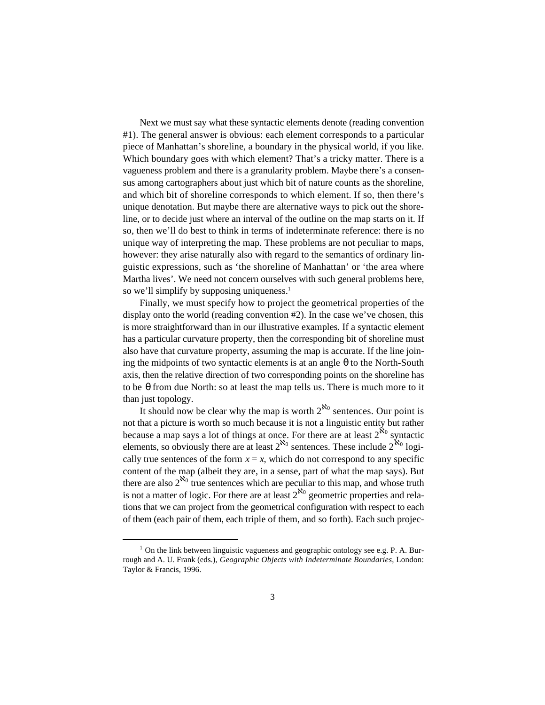Next we must say what these syntactic elements denote (reading convention #1). The general answer is obvious: each element corresponds to a particular piece of Manhattan's shoreline, a boundary in the physical world, if you like. Which boundary goes with which element? That's a tricky matter. There is a vagueness problem and there is a granularity problem. Maybe there's a consensus among cartographers about just which bit of nature counts as the shoreline, and which bit of shoreline corresponds to which element. If so, then there's unique denotation. But maybe there are alternative ways to pick out the shoreline, or to decide just where an interval of the outline on the map starts on it. If so, then we'll do best to think in terms of indeterminate reference: there is no unique way of interpreting the map. These problems are not peculiar to maps, however: they arise naturally also with regard to the semantics of ordinary linguistic expressions, such as 'the shoreline of Manhattan' or 'the area where Martha lives'. We need not concern ourselves with such general problems here, so we'll simplify by supposing uniqueness.<sup>1</sup>

Finally, we must specify how to project the geometrical properties of the display onto the world (reading convention #2). In the case we've chosen, this is more straightforward than in our illustrative examples. If a syntactic element has a particular curvature property, then the corresponding bit of shoreline must also have that curvature property, assuming the map is accurate. If the line joining the midpoints of two syntactic elements is at an angle to the North-South axis, then the relative direction of two corresponding points on the shoreline has to be from due North: so at least the map tells us. There is much more to it than just topology.

It should now be clear why the map is worth 2 $<sup>0</sup>$  sentences. Our point is</sup> not that a picture is worth so much because it is not a linguistic entity but rather because a map says a lot of things at once. For there are at least 2 $<sup>0</sup>$  syntactic</sup> elements, so obviously there are at least 2<sup> $0$ </sup> sentences. These include 2<sup> $0$ </sup> logically true sentences of the form  $x = x$ , which do not correspond to any specific content of the map (albeit they are, in a sense, part of what the map says). But there are also 2 $<sup>0</sup>$  true sentences which are peculiar to this map, and whose truth</sup> is not a matter of logic. For there are at least 2 $<sup>0</sup>$  geometric properties and rela-</sup> tions that we can project from the geometrical configuration with respect to each of them (each pair of them, each triple of them, and so forth). Each such projec-

l

 $<sup>1</sup>$  On the link between linguistic vagueness and geographic ontology see e.g. P. A. Bur-</sup> rough and A. U. Frank (eds.), *Geographic Objects with Indeterminate Boundaries*, London: Taylor & Francis, 1996.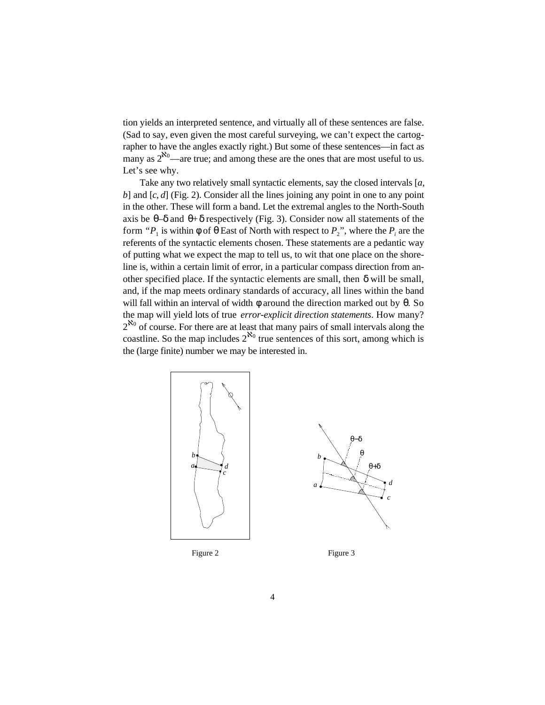tion yields an interpreted sentence, and virtually all of these sentences are false. (Sad to say, even given the most careful surveying, we can't expect the cartographer to have the angles exactly right.) But some of these sentences—in fact as many as  $2^{-0}$ —are true; and among these are the ones that are most useful to us. Let's see why.

Take any two relatively small syntactic elements, say the closed intervals [*a*, *b*] and [*c*, *d*] (Fig. 2). Consider all the lines joining any point in one to any point in the other. These will form a band. Let the extremal angles to the North-South axis be – and + respectively (Fig. 3). Consider now all statements of the form " $P_1$  is within of East of North with respect to  $P_2$ ", where the  $P_i$  are the referents of the syntactic elements chosen. These statements are a pedantic way of putting what we expect the map to tell us, to wit that one place on the shoreline is, within a certain limit of error, in a particular compass direction from another specified place. If the syntactic elements are small, then will be small, and, if the map meets ordinary standards of accuracy, all lines within the band will fall within an interval of width around the direction marked out by . So the map will yield lots of true *error-explicit direction statements*. How many? 2<sup>o</sup> of course. For there are at least that many pairs of small intervals along the coastline. So the map includes 2 $<sup>0</sup>$  true sentences of this sort, among which is</sup> the (large finite) number we may be interested in.